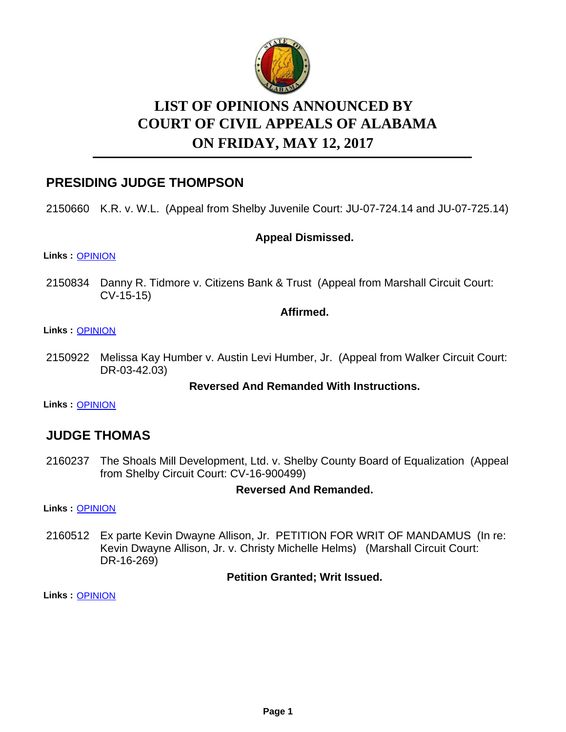

# **LIST OF OPINIONS ANNOUNCED BY ON FRIDAY, MAY 12, 2017 COURT OF CIVIL APPEALS OF ALABAMA**

# **PRESIDING JUDGE THOMPSON**

2150660 K.R. v. W.L. (Appeal from Shelby Juvenile Court: JU-07-724.14 and JU-07-725.14)

# **Appeal Dismissed.**

#### **Links :** [OPINION](https://acis.alabama.gov/displaydocs.cfm?no=802089&event=4WZ0LNDY5)

2150834 Danny R. Tidmore v. Citizens Bank & Trust (Appeal from Marshall Circuit Court: CV-15-15)

### **Affirmed.**

#### **Links :** [OPINION](https://acis.alabama.gov/displaydocs.cfm?no=802091&event=4WZ0LNEA9)

2150922 Melissa Kay Humber v. Austin Levi Humber, Jr. (Appeal from Walker Circuit Court: DR-03-42.03)

# **Reversed And Remanded With Instructions.**

**Links :** [OPINION](https://acis.alabama.gov/displaydocs.cfm?no=802094&event=4WZ0LNF52)

# **JUDGE THOMAS**

2160237 The Shoals Mill Development, Ltd. v. Shelby County Board of Equalization (Appeal from Shelby Circuit Court: CV-16-900499)

# **Reversed And Remanded.**

**Links :** [OPINION](https://acis.alabama.gov/displaydocs.cfm?no=802099&event=4WZ0LNFZS)

2160512 Ex parte Kevin Dwayne Allison, Jr. PETITION FOR WRIT OF MANDAMUS (In re: Kevin Dwayne Allison, Jr. v. Christy Michelle Helms) (Marshall Circuit Court: DR-16-269)

# **Petition Granted; Writ Issued.**

**Links :** [OPINION](https://acis.alabama.gov/displaydocs.cfm?no=802100&event=4WZ0LNG5G)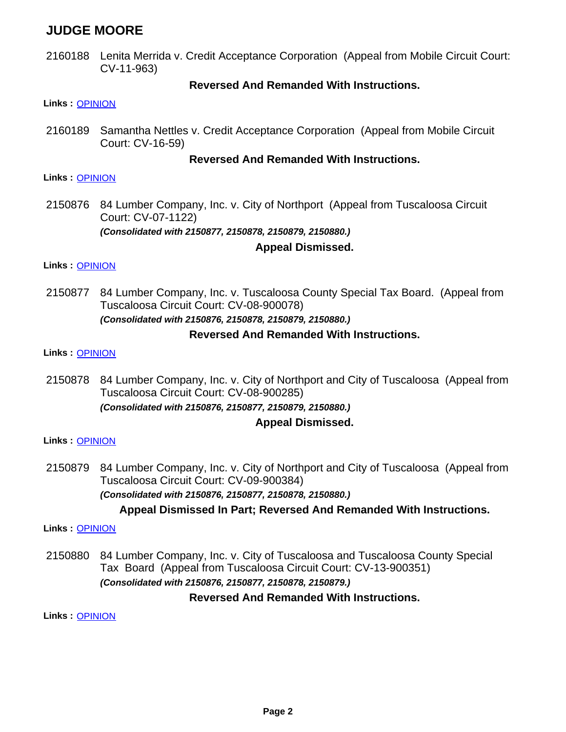# **JUDGE MOORE**

2160188 Lenita Merrida v. Credit Acceptance Corporation (Appeal from Mobile Circuit Court: CV-11-963)

### **Reversed And Remanded With Instructions.**

#### **Links :** [OPINION](https://acis.alabama.gov/displaydocs.cfm?no=802097&event=4WZ0LNFNO)

2160189 Samantha Nettles v. Credit Acceptance Corporation (Appeal from Mobile Circuit Court: CV-16-59)

### **Reversed And Remanded With Instructions.**

#### **Links :** [OPINION](https://acis.alabama.gov/displaydocs.cfm?no=802098&event=4WZ0LNFTR)

2150876 84 Lumber Company, Inc. v. City of Northport (Appeal from Tuscaloosa Circuit Court: CV-07-1122) *(Consolidated with 2150877, 2150878, 2150879, 2150880.)*

# **Appeal Dismissed.**

#### **Links :** [OPINION](https://acis.alabama.gov/displaydocs.cfm?no=802092&event=4WZ0LNEGD)

84 Lumber Company, Inc. v. Tuscaloosa County Special Tax Board. (Appeal from Tuscaloosa Circuit Court: CV-08-900078) *(Consolidated with 2150876, 2150878, 2150879, 2150880.)* 2150877

# **Reversed And Remanded With Instructions.**

#### **Links :** [OPINION](https://acis.alabama.gov/displaydocs.cfm?no=802092&event=4WZ0LNEGD)

2150878 84 Lumber Company, Inc. v. City of Northport and City of Tuscaloosa (Appeal from Tuscaloosa Circuit Court: CV-08-900285) *(Consolidated with 2150876, 2150877, 2150879, 2150880.)*

# **Appeal Dismissed.**

#### **Links :** [OPINION](https://acis.alabama.gov/displaydocs.cfm?no=802092&event=4WZ0LNEGD)

2150879 84 Lumber Company, Inc. v. City of Northport and City of Tuscaloosa (Appeal from Tuscaloosa Circuit Court: CV-09-900384) *(Consolidated with 2150876, 2150877, 2150878, 2150880.)*

# **Appeal Dismissed In Part; Reversed And Remanded With Instructions.**

#### **Links :** [OPINION](https://acis.alabama.gov/displaydocs.cfm?no=802092&event=4WZ0LNEGD)

84 Lumber Company, Inc. v. City of Tuscaloosa and Tuscaloosa County Special Tax Board (Appeal from Tuscaloosa Circuit Court: CV-13-900351) *(Consolidated with 2150876, 2150877, 2150878, 2150879.)* 2150880

#### **Reversed And Remanded With Instructions.**

**Links :** [OPINION](https://acis.alabama.gov/displaydocs.cfm?no=802092&event=4WZ0LNEGD)